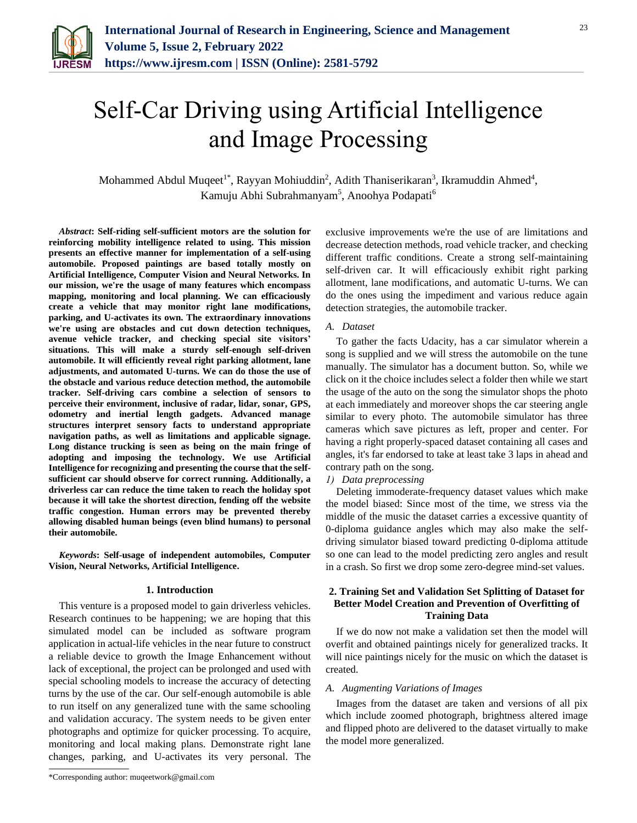

# Self-Car Driving using Artificial Intelligence and Image Processing

Mohammed Abdul Muqeet<sup>1\*</sup>, Rayyan Mohiuddin<sup>2</sup>, Adith Thaniserikaran<sup>3</sup>, Ikramuddin Ahmed<sup>4</sup>, Kamuju Abhi Subrahmanyam<sup>5</sup>, Anoohya Podapati<sup>6</sup>

*Abstract***: Self-riding self-sufficient motors are the solution for reinforcing mobility intelligence related to using. This mission presents an effective manner for implementation of a self-using automobile. Proposed paintings are based totally mostly on Artificial Intelligence, Computer Vision and Neural Networks. In our mission, we're the usage of many features which encompass mapping, monitoring and local planning. We can efficaciously create a vehicle that may monitor right lane modifications, parking, and U-activates its own. The extraordinary innovations we're using are obstacles and cut down detection techniques, avenue vehicle tracker, and checking special site visitors' situations. This will make a sturdy self-enough self-driven automobile. It will efficiently reveal right parking allotment, lane adjustments, and automated U-turns. We can do those the use of the obstacle and various reduce detection method, the automobile tracker. Self-driving cars combine a selection of sensors to perceive their environment, inclusive of radar, lidar, sonar, GPS, odometry and inertial length gadgets. Advanced manage structures interpret sensory facts to understand appropriate navigation paths, as well as limitations and applicable signage. Long distance trucking is seen as being on the main fringe of adopting and imposing the technology. We use Artificial Intelligence for recognizing and presenting the course that the selfsufficient car should observe for correct running. Additionally, a driverless car can reduce the time taken to reach the holiday spot because it will take the shortest direction, fending off the website traffic congestion. Human errors may be prevented thereby allowing disabled human beings (even blind humans) to personal their automobile.**

*Keywords***: Self-usage of independent automobiles, Computer Vision, Neural Networks, Artificial Intelligence.**

#### **1. Introduction**

This venture is a proposed model to gain driverless vehicles. Research continues to be happening; we are hoping that this simulated model can be included as software program application in actual-life vehicles in the near future to construct a reliable device to growth the Image Enhancement without lack of exceptional, the project can be prolonged and used with special schooling models to increase the accuracy of detecting turns by the use of the car. Our self-enough automobile is able to run itself on any generalized tune with the same schooling and validation accuracy. The system needs to be given enter photographs and optimize for quicker processing. To acquire, monitoring and local making plans. Demonstrate right lane changes, parking, and U-activates its very personal. The

\*Corresponding author: muqeetwork@gmail.com

exclusive improvements we're the use of are limitations and decrease detection methods, road vehicle tracker, and checking different traffic conditions. Create a strong self-maintaining self-driven car. It will efficaciously exhibit right parking allotment, lane modifications, and automatic U-turns. We can do the ones using the impediment and various reduce again detection strategies, the automobile tracker.

## *A. Dataset*

To gather the facts Udacity, has a car simulator wherein a song is supplied and we will stress the automobile on the tune manually. The simulator has a document button. So, while we click on it the choice includes select a folder then while we start the usage of the auto on the song the simulator shops the photo at each immediately and moreover shops the car steering angle similar to every photo. The automobile simulator has three cameras which save pictures as left, proper and center. For having a right properly-spaced dataset containing all cases and angles, it's far endorsed to take at least take 3 laps in ahead and contrary path on the song.

# *1) Data preprocessing*

Deleting immoderate-frequency dataset values which make the model biased: Since most of the time, we stress via the middle of the music the dataset carries a excessive quantity of 0-diploma guidance angles which may also make the selfdriving simulator biased toward predicting 0-diploma attitude so one can lead to the model predicting zero angles and result in a crash. So first we drop some zero-degree mind-set values.

## **2. Training Set and Validation Set Splitting of Dataset for Better Model Creation and Prevention of Overfitting of Training Data**

If we do now not make a validation set then the model will overfit and obtained paintings nicely for generalized tracks. It will nice paintings nicely for the music on which the dataset is created.

#### *A. Augmenting Variations of Images*

Images from the dataset are taken and versions of all pix which include zoomed photograph, brightness altered image and flipped photo are delivered to the dataset virtually to make the model more generalized.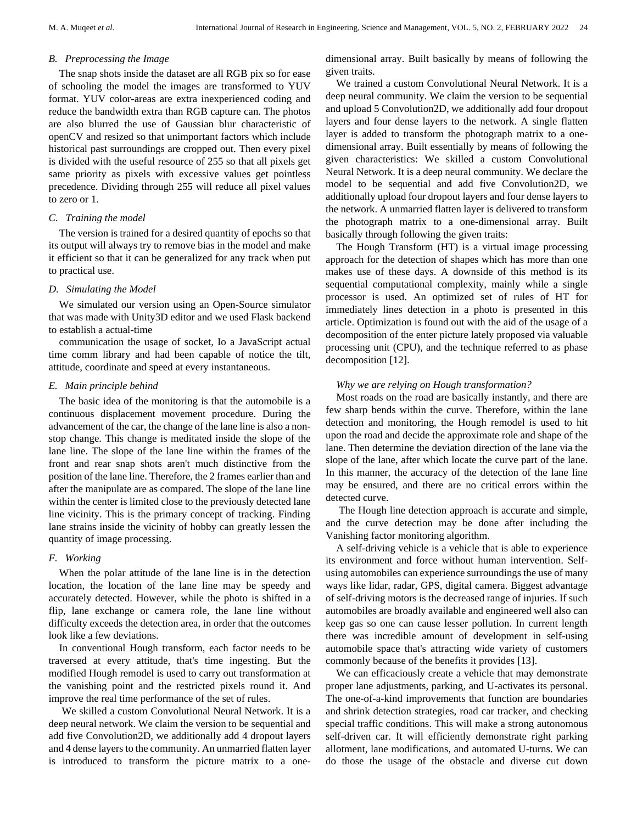#### *B. Preprocessing the Image*

The snap shots inside the dataset are all RGB pix so for ease of schooling the model the images are transformed to YUV format. YUV color-areas are extra inexperienced coding and reduce the bandwidth extra than RGB capture can. The photos are also blurred the use of Gaussian blur characteristic of openCV and resized so that unimportant factors which include historical past surroundings are cropped out. Then every pixel is divided with the useful resource of 255 so that all pixels get same priority as pixels with excessive values get pointless precedence. Dividing through 255 will reduce all pixel values to zero or 1.

# *C. Training the model*

The version is trained for a desired quantity of epochs so that its output will always try to remove bias in the model and make it efficient so that it can be generalized for any track when put to practical use.

## *D. Simulating the Model*

We simulated our version using an Open-Source simulator that was made with Unity3D editor and we used Flask backend to establish a actual-time

communication the usage of socket, Io a JavaScript actual time comm library and had been capable of notice the tilt, attitude, coordinate and speed at every instantaneous.

## *E. Main principle behind*

The basic idea of the monitoring is that the automobile is a continuous displacement movement procedure. During the advancement of the car, the change of the lane line is also a nonstop change. This change is meditated inside the slope of the lane line. The slope of the lane line within the frames of the front and rear snap shots aren't much distinctive from the position of the lane line. Therefore, the 2 frames earlier than and after the manipulate are as compared. The slope of the lane line within the center is limited close to the previously detected lane line vicinity. This is the primary concept of tracking. Finding lane strains inside the vicinity of hobby can greatly lessen the quantity of image processing.

# *F. Working*

When the polar attitude of the lane line is in the detection location, the location of the lane line may be speedy and accurately detected. However, while the photo is shifted in a flip, lane exchange or camera role, the lane line without difficulty exceeds the detection area, in order that the outcomes look like a few deviations.

In conventional Hough transform, each factor needs to be traversed at every attitude, that's time ingesting. But the modified Hough remodel is used to carry out transformation at the vanishing point and the restricted pixels round it. And improve the real time performance of the set of rules.

We skilled a custom Convolutional Neural Network. It is a deep neural network. We claim the version to be sequential and add five Convolution2D, we additionally add 4 dropout layers and 4 dense layers to the community. An unmarried flatten layer is introduced to transform the picture matrix to a onedimensional array. Built basically by means of following the given traits.

We trained a custom Convolutional Neural Network. It is a deep neural community. We claim the version to be sequential and upload 5 Convolution2D, we additionally add four dropout layers and four dense layers to the network. A single flatten layer is added to transform the photograph matrix to a onedimensional array. Built essentially by means of following the given characteristics: We skilled a custom Convolutional Neural Network. It is a deep neural community. We declare the model to be sequential and add five Convolution2D, we additionally upload four dropout layers and four dense layers to the network. A unmarried flatten layer is delivered to transform the photograph matrix to a one-dimensional array. Built basically through following the given traits:

The Hough Transform (HT) is a virtual image processing approach for the detection of shapes which has more than one makes use of these days. A downside of this method is its sequential computational complexity, mainly while a single processor is used. An optimized set of rules of HT for immediately lines detection in a photo is presented in this article. Optimization is found out with the aid of the usage of a decomposition of the enter picture lately proposed via valuable processing unit (CPU), and the technique referred to as phase decomposition [12].

## *Why we are relying on Hough transformation?*

Most roads on the road are basically instantly, and there are few sharp bends within the curve. Therefore, within the lane detection and monitoring, the Hough remodel is used to hit upon the road and decide the approximate role and shape of the lane. Then determine the deviation direction of the lane via the slope of the lane, after which locate the curve part of the lane. In this manner, the accuracy of the detection of the lane line may be ensured, and there are no critical errors within the detected curve.

The Hough line detection approach is accurate and simple, and the curve detection may be done after including the Vanishing factor monitoring algorithm.

A self-driving vehicle is a vehicle that is able to experience its environment and force without human intervention. Selfusing automobiles can experience surroundings the use of many ways like lidar, radar, GPS, digital camera. Biggest advantage of self-driving motors is the decreased range of injuries. If such automobiles are broadly available and engineered well also can keep gas so one can cause lesser pollution. In current length there was incredible amount of development in self-using automobile space that's attracting wide variety of customers commonly because of the benefits it provides [13].

We can efficaciously create a vehicle that may demonstrate proper lane adjustments, parking, and U-activates its personal. The one-of-a-kind improvements that function are boundaries and shrink detection strategies, road car tracker, and checking special traffic conditions. This will make a strong autonomous self-driven car. It will efficiently demonstrate right parking allotment, lane modifications, and automated U-turns. We can do those the usage of the obstacle and diverse cut down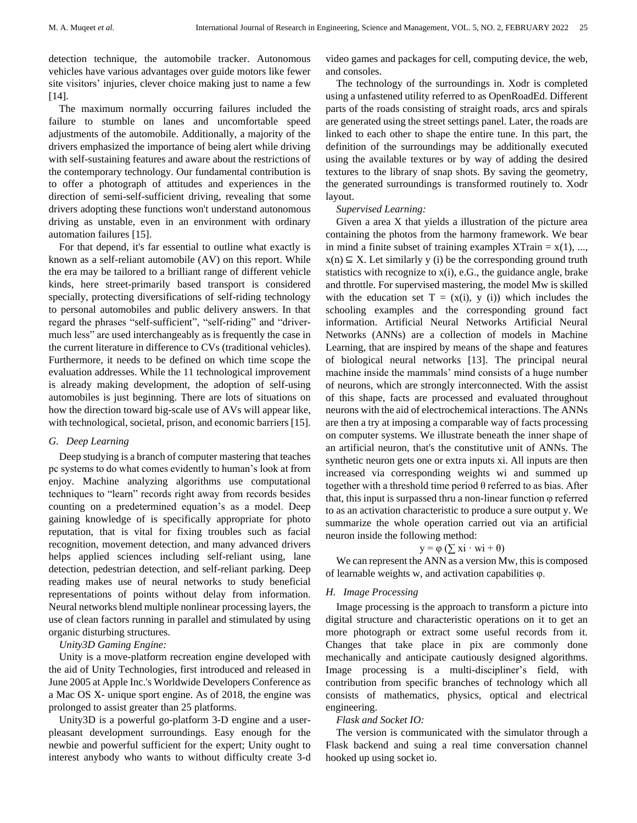detection technique, the automobile tracker. Autonomous vehicles have various advantages over guide motors like fewer site visitors' injuries, clever choice making just to name a few [14].

The maximum normally occurring failures included the failure to stumble on lanes and uncomfortable speed adjustments of the automobile. Additionally, a majority of the drivers emphasized the importance of being alert while driving with self-sustaining features and aware about the restrictions of the contemporary technology. Our fundamental contribution is to offer a photograph of attitudes and experiences in the direction of semi-self-sufficient driving, revealing that some drivers adopting these functions won't understand autonomous driving as unstable, even in an environment with ordinary automation failures [15].

For that depend, it's far essential to outline what exactly is known as a self-reliant automobile (AV) on this report. While the era may be tailored to a brilliant range of different vehicle kinds, here street-primarily based transport is considered specially, protecting diversifications of self-riding technology to personal automobiles and public delivery answers. In that regard the phrases "self-sufficient", "self-riding" and "drivermuch less" are used interchangeably as is frequently the case in the current literature in difference to CVs (traditional vehicles). Furthermore, it needs to be defined on which time scope the evaluation addresses. While the 11 technological improvement is already making development, the adoption of self-using automobiles is just beginning. There are lots of situations on how the direction toward big-scale use of AVs will appear like, with technological, societal, prison, and economic barriers [15].

#### *G. Deep Learning*

Deep studying is a branch of computer mastering that teaches pc systems to do what comes evidently to human's look at from enjoy. Machine analyzing algorithms use computational techniques to "learn" records right away from records besides counting on a predetermined equation's as a model. Deep gaining knowledge of is specifically appropriate for photo reputation, that is vital for fixing troubles such as facial recognition, movement detection, and many advanced drivers helps applied sciences including self-reliant using, lane detection, pedestrian detection, and self-reliant parking. Deep reading makes use of neural networks to study beneficial representations of points without delay from information. Neural networks blend multiple nonlinear processing layers, the use of clean factors running in parallel and stimulated by using organic disturbing structures.

#### *Unity3D Gaming Engine:*

Unity is a move-platform recreation engine developed with the aid of Unity Technologies, first introduced and released in June 2005 at Apple Inc.'s Worldwide Developers Conference as a Mac OS X- unique sport engine. As of 2018, the engine was prolonged to assist greater than 25 platforms.

Unity3D is a powerful go-platform 3-D engine and a userpleasant development surroundings. Easy enough for the newbie and powerful sufficient for the expert; Unity ought to interest anybody who wants to without difficulty create 3-d video games and packages for cell, computing device, the web, and consoles.

The technology of the surroundings in. Xodr is completed using a unfastened utility referred to as OpenRoadEd. Different parts of the roads consisting of straight roads, arcs and spirals are generated using the street settings panel. Later, the roads are linked to each other to shape the entire tune. In this part, the definition of the surroundings may be additionally executed using the available textures or by way of adding the desired textures to the library of snap shots. By saving the geometry, the generated surroundings is transformed routinely to. Xodr layout.

#### *Supervised Learning:*

Given a area X that yields a illustration of the picture area containing the photos from the harmony framework. We bear in mind a finite subset of training examples  $XTrain = x(1), ...,$  $x(n) \subseteq X$ . Let similarly y (i) be the corresponding ground truth statistics with recognize to x(i), e.G., the guidance angle, brake and throttle. For supervised mastering, the model Mw is skilled with the education set  $T = (x(i), y(i))$  which includes the schooling examples and the corresponding ground fact information. Artificial Neural Networks Artificial Neural Networks (ANNs) are a collection of models in Machine Learning, that are inspired by means of the shape and features of biological neural networks [13]. The principal neural machine inside the mammals' mind consists of a huge number of neurons, which are strongly interconnected. With the assist of this shape, facts are processed and evaluated throughout neurons with the aid of electrochemical interactions. The ANNs are then a try at imposing a comparable way of facts processing on computer systems. We illustrate beneath the inner shape of an artificial neuron, that's the constitutive unit of ANNs. The synthetic neuron gets one or extra inputs xi. All inputs are then increased via corresponding weights wi and summed up together with a threshold time period θ referred to as bias. After that, this input is surpassed thru a non-linear function φ referred to as an activation characteristic to produce a sure output y. We summarize the whole operation carried out via an artificial neuron inside the following method:

# $y = \varphi$  ( $\sum x_i \cdot wi + \theta$ )

We can represent the ANN as a version Mw, this is composed of learnable weights w, and activation capabilities φ.

#### *H. Image Processing*

Image processing is the approach to transform a picture into digital structure and characteristic operations on it to get an more photograph or extract some useful records from it. Changes that take place in pix are commonly done mechanically and anticipate cautiously designed algorithms. Image processing is a multi-discipliner's field, with contribution from specific branches of technology which all consists of mathematics, physics, optical and electrical engineering.

#### *Flask and Socket IO:*

The version is communicated with the simulator through a Flask backend and suing a real time conversation channel hooked up using socket io.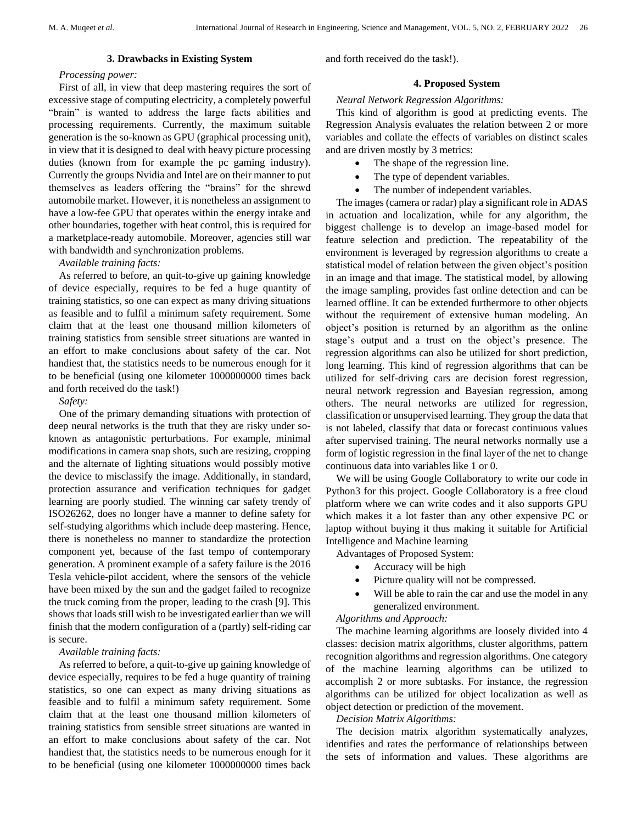# **3. Drawbacks in Existing System**

# *Processing power:*

First of all, in view that deep mastering requires the sort of excessive stage of computing electricity, a completely powerful "brain" is wanted to address the large facts abilities and processing requirements. Currently, the maximum suitable generation is the so-known as GPU (graphical processing unit), in view that it is designed to deal with heavy picture processing duties (known from for example the pc gaming industry). Currently the groups Nvidia and Intel are on their manner to put themselves as leaders offering the "brains" for the shrewd automobile market. However, it is nonetheless an assignment to have a low-fee GPU that operates within the energy intake and other boundaries, together with heat control, this is required for a marketplace-ready automobile. Moreover, agencies still war with bandwidth and synchronization problems.

# *Available training facts:*

As referred to before, an quit-to-give up gaining knowledge of device especially, requires to be fed a huge quantity of training statistics, so one can expect as many driving situations as feasible and to fulfil a minimum safety requirement. Some claim that at the least one thousand million kilometers of training statistics from sensible street situations are wanted in an effort to make conclusions about safety of the car. Not handiest that, the statistics needs to be numerous enough for it to be beneficial (using one kilometer 1000000000 times back and forth received do the task!)

*Safety:*

One of the primary demanding situations with protection of deep neural networks is the truth that they are risky under soknown as antagonistic perturbations. For example, minimal modifications in camera snap shots, such are resizing, cropping and the alternate of lighting situations would possibly motive the device to misclassify the image. Additionally, in standard, protection assurance and verification techniques for gadget learning are poorly studied. The winning car safety trendy of ISO26262, does no longer have a manner to define safety for self-studying algorithms which include deep mastering. Hence, there is nonetheless no manner to standardize the protection component yet, because of the fast tempo of contemporary generation. A prominent example of a safety failure is the 2016 Tesla vehicle-pilot accident, where the sensors of the vehicle have been mixed by the sun and the gadget failed to recognize the truck coming from the proper, leading to the crash [9]. This shows that loads still wish to be investigated earlier than we will finish that the modern configuration of a (partly) self-riding car is secure.

# *Available training facts:*

As referred to before, a quit-to-give up gaining knowledge of device especially, requires to be fed a huge quantity of training statistics, so one can expect as many driving situations as feasible and to fulfil a minimum safety requirement. Some claim that at the least one thousand million kilometers of training statistics from sensible street situations are wanted in an effort to make conclusions about safety of the car. Not handiest that, the statistics needs to be numerous enough for it to be beneficial (using one kilometer 1000000000 times back

and forth received do the task!).

# **4. Proposed System**

# *Neural Network Regression Algorithms:*

This kind of algorithm is good at predicting events. The Regression Analysis evaluates the relation between 2 or more variables and collate the effects of variables on distinct scales and are driven mostly by 3 metrics:

- The shape of the regression line.
- The type of dependent variables.
- The number of independent variables.

The images (camera or radar) play a significant role in ADAS in actuation and localization, while for any algorithm, the biggest challenge is to develop an image-based model for feature selection and prediction. The repeatability of the environment is leveraged by regression algorithms to create a statistical model of relation between the given object's position in an image and that image. The statistical model, by allowing the image sampling, provides fast online detection and can be learned offline. It can be extended furthermore to other objects without the requirement of extensive human modeling. An object's position is returned by an algorithm as the online stage's output and a trust on the object's presence. The regression algorithms can also be utilized for short prediction, long learning. This kind of regression algorithms that can be utilized for self-driving cars are decision forest regression, neural network regression and Bayesian regression, among others. The neural networks are utilized for regression, classification or unsupervised learning. They group the data that is not labeled, classify that data or forecast continuous values after supervised training. The neural networks normally use a form of logistic regression in the final layer of the net to change continuous data into variables like 1 or 0.

We will be using Google Collaboratory to write our code in Python3 for this project. Google Collaboratory is a free cloud platform where we can write codes and it also supports GPU which makes it a lot faster than any other expensive PC or laptop without buying it thus making it suitable for Artificial Intelligence and Machine learning

Advantages of Proposed System:

- Accuracy will be high
- Picture quality will not be compressed.
- Will be able to rain the car and use the model in any generalized environment.

# *Algorithms and Approach:*

The machine learning algorithms are loosely divided into 4 classes: decision matrix algorithms, cluster algorithms, pattern recognition algorithms and regression algorithms. One category of the machine learning algorithms can be utilized to accomplish 2 or more subtasks. For instance, the regression algorithms can be utilized for object localization as well as object detection or prediction of the movement.

*Decision Matrix Algorithms:*

The decision matrix algorithm systematically analyzes, identifies and rates the performance of relationships between the sets of information and values. These algorithms are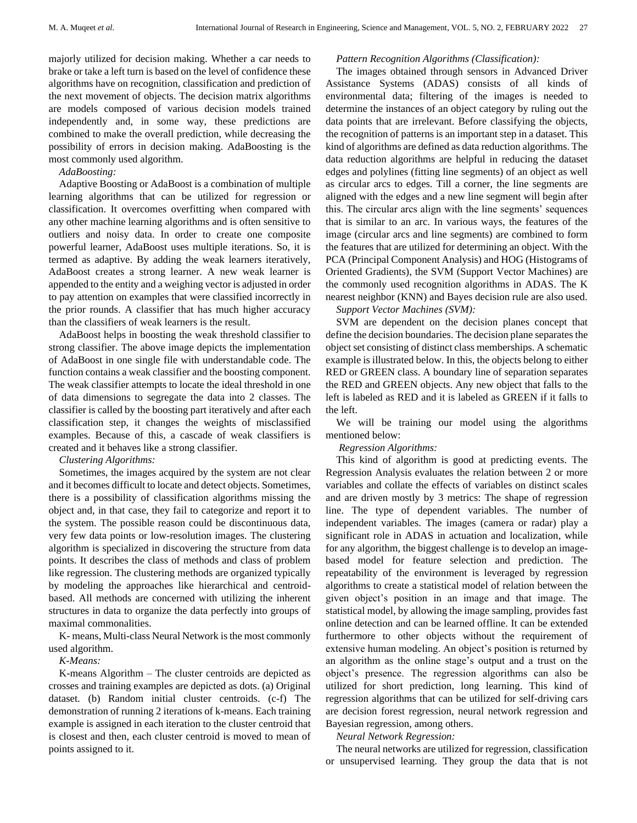majorly utilized for decision making. Whether a car needs to brake or take a left turn is based on the level of confidence these algorithms have on recognition, classification and prediction of the next movement of objects. The decision matrix algorithms are models composed of various decision models trained independently and, in some way, these predictions are combined to make the overall prediction, while decreasing the possibility of errors in decision making. AdaBoosting is the most commonly used algorithm.

#### *AdaBoosting:*

Adaptive Boosting or AdaBoost is a combination of multiple learning algorithms that can be utilized for regression or classification. It overcomes overfitting when compared with any other machine learning algorithms and is often sensitive to outliers and noisy data. In order to create one composite powerful learner, AdaBoost uses multiple iterations. So, it is termed as adaptive. By adding the weak learners iteratively, AdaBoost creates a strong learner. A new weak learner is appended to the entity and a weighing vector is adjusted in order to pay attention on examples that were classified incorrectly in the prior rounds. A classifier that has much higher accuracy than the classifiers of weak learners is the result.

AdaBoost helps in boosting the weak threshold classifier to strong classifier. The above image depicts the implementation of AdaBoost in one single file with understandable code. The function contains a weak classifier and the boosting component. The weak classifier attempts to locate the ideal threshold in one of data dimensions to segregate the data into 2 classes. The classifier is called by the boosting part iteratively and after each classification step, it changes the weights of misclassified examples. Because of this, a cascade of weak classifiers is created and it behaves like a strong classifier.

#### *Clustering Algorithms:*

Sometimes, the images acquired by the system are not clear and it becomes difficult to locate and detect objects. Sometimes, there is a possibility of classification algorithms missing the object and, in that case, they fail to categorize and report it to the system. The possible reason could be discontinuous data, very few data points or low-resolution images. The clustering algorithm is specialized in discovering the structure from data points. It describes the class of methods and class of problem like regression. The clustering methods are organized typically by modeling the approaches like hierarchical and centroidbased. All methods are concerned with utilizing the inherent structures in data to organize the data perfectly into groups of maximal commonalities.

K- means, Multi-class Neural Network is the most commonly used algorithm.

*K-Means:*

K-means Algorithm – The cluster centroids are depicted as crosses and training examples are depicted as dots. (a) Original dataset. (b) Random initial cluster centroids. (c-f) The demonstration of running 2 iterations of k-means. Each training example is assigned in each iteration to the cluster centroid that is closest and then, each cluster centroid is moved to mean of points assigned to it.

#### *Pattern Recognition Algorithms (Classification):*

The images obtained through sensors in Advanced Driver Assistance Systems (ADAS) consists of all kinds of environmental data; filtering of the images is needed to determine the instances of an object category by ruling out the data points that are irrelevant. Before classifying the objects, the recognition of patterns is an important step in a dataset. This kind of algorithms are defined as data reduction algorithms. The data reduction algorithms are helpful in reducing the dataset edges and polylines (fitting line segments) of an object as well as circular arcs to edges. Till a corner, the line segments are aligned with the edges and a new line segment will begin after this. The circular arcs align with the line segments' sequences that is similar to an arc. In various ways, the features of the image (circular arcs and line segments) are combined to form the features that are utilized for determining an object. With the PCA (Principal Component Analysis) and HOG (Histograms of Oriented Gradients), the SVM (Support Vector Machines) are the commonly used recognition algorithms in ADAS. The K nearest neighbor (KNN) and Bayes decision rule are also used.

# *Support Vector Machines (SVM):*

SVM are dependent on the decision planes concept that define the decision boundaries. The decision plane separates the object set consisting of distinct class memberships. A schematic example is illustrated below. In this, the objects belong to either RED or GREEN class. A boundary line of separation separates the RED and GREEN objects. Any new object that falls to the left is labeled as RED and it is labeled as GREEN if it falls to the left.

We will be training our model using the algorithms mentioned below:

# *Regression Algorithms:*

This kind of algorithm is good at predicting events. The Regression Analysis evaluates the relation between 2 or more variables and collate the effects of variables on distinct scales and are driven mostly by 3 metrics: The shape of regression line. The type of dependent variables. The number of independent variables. The images (camera or radar) play a significant role in ADAS in actuation and localization, while for any algorithm, the biggest challenge is to develop an imagebased model for feature selection and prediction. The repeatability of the environment is leveraged by regression algorithms to create a statistical model of relation between the given object's position in an image and that image. The statistical model, by allowing the image sampling, provides fast online detection and can be learned offline. It can be extended furthermore to other objects without the requirement of extensive human modeling. An object's position is returned by an algorithm as the online stage's output and a trust on the object's presence. The regression algorithms can also be utilized for short prediction, long learning. This kind of regression algorithms that can be utilized for self-driving cars are decision forest regression, neural network regression and Bayesian regression, among others.

*Neural Network Regression:*

The neural networks are utilized for regression, classification or unsupervised learning. They group the data that is not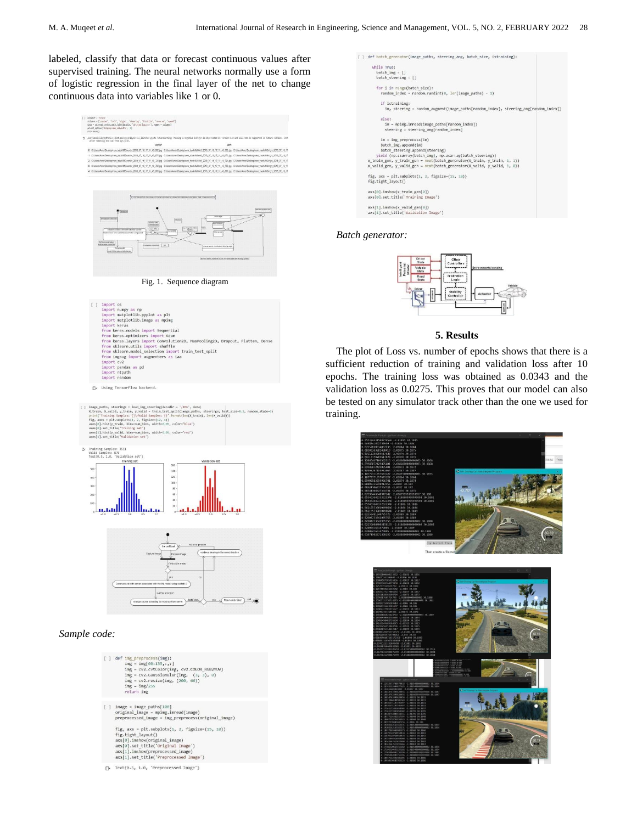labeled, classify that data or forecast continuous values after supervised training. The neural networks normally use a form of logistic regression in the final layer of the net to change continuous data into variables like 1 or 0.



Fig. 1. Sequence diagram





#### *Sample code:*

| $\lceil$ ] image = image paths $\lceil 100 \rceil$<br>original image = mpimg.imread(image)<br>preprocessed image = img preprocess(original image)<br>fig, axs = $plt.subplots(1, 2, figsize=(15, 10))$<br>fig.tight layout() | [ ] def img preprocess(img):<br>$img = img[60:135, : , :]$<br>$img = cv2.cvtColor(img, cv2.COLOR RGB2YUV)$<br>$img = cv2.GaussianBlur(img, (3, 3), 0)$<br>$img = cv2.resize(img, (200, 66))$<br>$img = img / 255$<br>return img |  |  |  |
|------------------------------------------------------------------------------------------------------------------------------------------------------------------------------------------------------------------------------|---------------------------------------------------------------------------------------------------------------------------------------------------------------------------------------------------------------------------------|--|--|--|
|                                                                                                                                                                                                                              |                                                                                                                                                                                                                                 |  |  |  |
| axs[0].set title('Original Image')<br>axs[1].imshow(preprocessed image)<br>axs[1], set title('Prenrocessed Image')                                                                                                           | axs[0].imshow(original_image)                                                                                                                                                                                                   |  |  |  |

 $\Gamma$  Text(0.5, 1.0, 'Preprocessed Image')



#### *Batch generator:*



#### **5. Results**

The plot of Loss vs. number of epochs shows that there is a sufficient reduction of training and validation loss after 10 epochs. The training loss was obtained as 0.0343 and the validation loss as 0.0275. This proves that our model can also be tested on any simulator track other than the one we used for training.



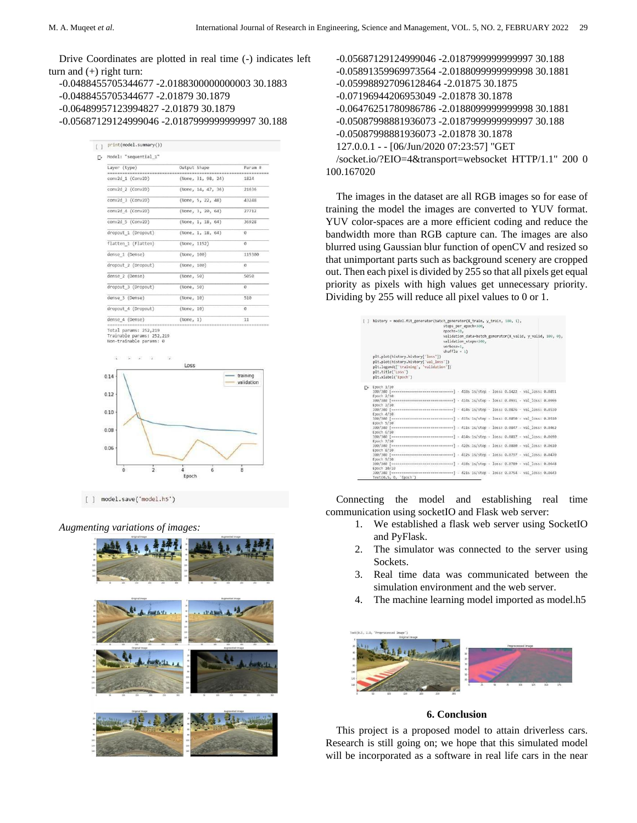Drive Coordinates are plotted in real time (-) indicates left turn and  $(+)$  right turn:

-0.0488455705344677 -2.0188300000000003 30.1883 -0.0488455705344677 -2.01879 30.1879 -0.06489957123994827 -2.01879 30.1879 -0.05687129124999046 -2.0187999999999997 30.188

| print(model.summary()) |              |                    |                                        |  |  |
|------------------------|--------------|--------------------|----------------------------------------|--|--|
| Model: "sequential 1"  |              |                    |                                        |  |  |
| Layer (type)           | Output Shape |                    | Param #                                |  |  |
| conv2d 1 (Conv2D)      |              | (None, 31, 98, 24) | be on he be no us on he on our<br>1824 |  |  |
| conv2d 2 (Conv2D)      |              | (None, 14, 47, 36) | 21636                                  |  |  |
| conv2d 3 (Conv2D)      |              | (None, 5, 22, 48)  | 43248                                  |  |  |
| conv2d 4 (Conv2D)      |              | (None, 3, 20, 64)  | 27712                                  |  |  |
| conv2d 5 (Conv2D)      |              | (None, 1, 18, 64)  | 36928                                  |  |  |
| dropout 1 (Dropout)    |              | (None, 1, 18, 64)  | ø                                      |  |  |
| flatten 1 (Flatten)    | (None, 1152) |                    | ø                                      |  |  |
| dense 1 (Dense)        | (None, 100)  |                    | 115300                                 |  |  |
| dropout 2 (Dropout)    | (None, 100)  |                    | $\Omega$                               |  |  |
| dense 2 (Dense)        | (None, 50)   |                    | 5050                                   |  |  |
| dropout 3 (Dropout)    | (None, 50)   |                    | $\Omega$                               |  |  |
| dense 3 (Dense)        | (None, 10)   |                    | 510                                    |  |  |
| dropout_4 (Dropout)    | (None, 10)   |                    | $\theta$                               |  |  |
| dense 4 (Dense)        | (None, 1)    |                    | 11                                     |  |  |

Trainable params: 252,219<br>Non-trainable params: 0



[ ] model.save('model.h5')

#### *Augmenting variations of images:*



| -0.05687129124999046 -2.0187999999999997 30.188       |
|-------------------------------------------------------|
| -0.05891359969973564 -2.018809999999998 30.1881       |
| -0.059988927096128464 -2.01875 30.1875                |
| -0.07196944206953049 -2.01878 30.1878                 |
| -0.06476251780986786 -2.0188099999999998 30.1881      |
| -0.05087998881936073 -2.0187999999999997 30.188       |
| -0.05087998881936073 -2.01878 30.1878                 |
| 127.0.0.1 - - [06/Jun/2020 07:23:57] "GET             |
| /socket.io/?EIO=4&transport=websocket HTTP/1.1" 200 0 |
| 100.167020                                            |

The images in the dataset are all RGB images so for ease of training the model the images are converted to YUV format. YUV color-spaces are a more efficient coding and reduce the bandwidth more than RGB capture can. The images are also blurred using Gaussian blur function of openCV and resized so that unimportant parts such as background scenery are cropped out. Then each pixel is divided by 255 so that all pixels get equal priority as pixels with high values get unnecessary priority. Dividing by 255 will reduce all pixel values to 0 or 1.

|     | history = model.fit generator(batch generator(X train, y train, 100, 1),<br>steps per epoch=300,<br>epochs=10,<br>validation data=batch generator(X valid, y valid, 100, 0),<br>validation steps=200,<br>verbose=1.<br>$shuffle = 1)$<br>plt.plot(history.history['loss'])<br>plt.plot(history.history['val loss'])<br>plt.legend(['training', 'validation'])<br>plt.title('Loss') |
|-----|------------------------------------------------------------------------------------------------------------------------------------------------------------------------------------------------------------------------------------------------------------------------------------------------------------------------------------------------------------------------------------|
|     | plt.xlabel('Epoch')                                                                                                                                                                                                                                                                                                                                                                |
| Г÷. | Epoch 1/10<br>ssssssss   - 418s 1s/step - loss: 0.1422 - val loss: 0.0851<br>300/300 Гимининализации                                                                                                                                                                                                                                                                               |
|     | Epoch 2/10                                                                                                                                                                                                                                                                                                                                                                         |
|     | ******] - 414s 1s/step - loss: 0.0931 - val loss: 0.0996<br>300/300 [ ********                                                                                                                                                                                                                                                                                                     |
|     | Epoch 3/10                                                                                                                                                                                                                                                                                                                                                                         |
|     | 300/300 [ =============================== ] - 414s 1s/step - loss: 0.0876 - val loss: 0.0530                                                                                                                                                                                                                                                                                       |
|     | Epoch 4/10                                                                                                                                                                                                                                                                                                                                                                         |
|     |                                                                                                                                                                                                                                                                                                                                                                                    |
|     | Epoch 5/10<br>300/300 [иникапининининининининининини] - 411s 1s/step - loss: 0.0847 - val loss: 0.0462                                                                                                                                                                                                                                                                             |
|     | Epoch 6/10                                                                                                                                                                                                                                                                                                                                                                         |
|     | 300/300 [suussessassassassassassassas] - 414s 1s/step - loss: 0.0817 - val loss: 0.0690                                                                                                                                                                                                                                                                                            |
|     | Epoch 7/10                                                                                                                                                                                                                                                                                                                                                                         |
|     | 300/300 [иннинниннинниннинниннинни] - 420s 1s/step - loss: 0.0800 - val loss: 0.0610                                                                                                                                                                                                                                                                                               |
|     | Epoch 8/10                                                                                                                                                                                                                                                                                                                                                                         |
|     |                                                                                                                                                                                                                                                                                                                                                                                    |
|     | Epoch 9/10                                                                                                                                                                                                                                                                                                                                                                         |
|     | ussumm] - 418s 1s/step - loss: 0.0789 - val loss: 0.0648<br>300/300 Гипининини                                                                                                                                                                                                                                                                                                     |
|     | Epoch 10/10                                                                                                                                                                                                                                                                                                                                                                        |
|     | enemenes] - 421s 1s/step - loss: 0.0754 - val loss: 0.0643<br>300/300 [upsessenweressens<br>Text(0.5, 0, 'Epoch')                                                                                                                                                                                                                                                                  |
|     |                                                                                                                                                                                                                                                                                                                                                                                    |

Connecting the model and establishing real time communication using socketIO and Flask web server:

- 1. We established a flask web server using SocketIO and PyFlask.
- 2. The simulator was connected to the server using Sockets.
- 3. Real time data was communicated between the simulation environment and the web server.
- 4. The machine learning model imported as model.h5



# **6. Conclusion**

This project is a proposed model to attain driverless cars. Research is still going on; we hope that this simulated model will be incorporated as a software in real life cars in the near